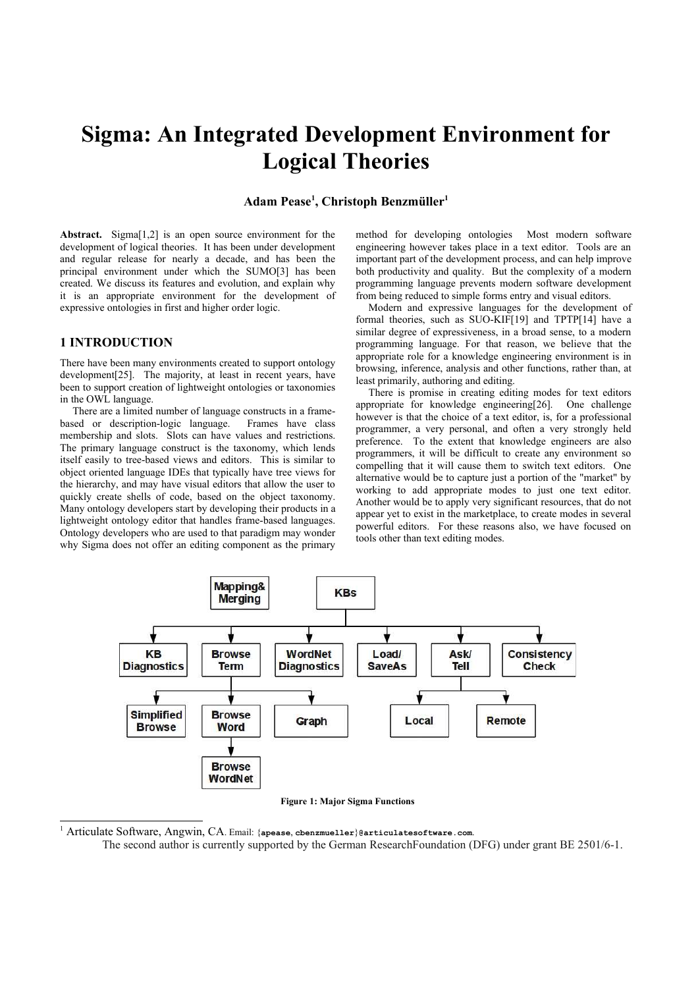# **Sigma: An Integrated Development Environment for Logical Theories**

# **Adam Pease[1](#page-0-0) , Christoph Benzmüller<sup>1</sup>**

**Abstract.** Sigma[1,2] is an open source environment for the development of logical theories. It has been under development and regular release for nearly a decade, and has been the principal environment under which the SUMO[3] has been created. We discuss its features and evolution, and explain why it is an appropriate environment for the development of expressive ontologies in first and higher order logic.

# **1 INTRODUCTION**

There have been many environments created to support ontology development[25]. The majority, at least in recent years, have been to support creation of lightweight ontologies or taxonomies in the OWL language.

There are a limited number of language constructs in a framebased or description-logic language. Frames have class membership and slots. Slots can have values and restrictions. The primary language construct is the taxonomy, which lends itself easily to tree-based views and editors. This is similar to object oriented language IDEs that typically have tree views for the hierarchy, and may have visual editors that allow the user to quickly create shells of code, based on the object taxonomy. Many ontology developers start by developing their products in a lightweight ontology editor that handles frame-based languages. Ontology developers who are used to that paradigm may wonder why Sigma does not offer an editing component as the primary method for developing ontologies Most modern software engineering however takes place in a text editor. Tools are an important part of the development process, and can help improve both productivity and quality. But the complexity of a modern programming language prevents modern software development from being reduced to simple forms entry and visual editors.

Modern and expressive languages for the development of formal theories, such as SUO-KIF[19] and TPTP[14] have a similar degree of expressiveness, in a broad sense, to a modern programming language. For that reason, we believe that the appropriate role for a knowledge engineering environment is in browsing, inference, analysis and other functions, rather than, at least primarily, authoring and editing.

There is promise in creating editing modes for text editors appropriate for knowledge engineering[26]. One challenge however is that the choice of a text editor, is, for a professional programmer, a very personal, and often a very strongly held preference. To the extent that knowledge engineers are also programmers, it will be difficult to create any environment so compelling that it will cause them to switch text editors. One alternative would be to capture just a portion of the "market" by working to add appropriate modes to just one text editor. Another would be to apply very significant resources, that do not appear yet to exist in the marketplace, to create modes in several powerful editors. For these reasons also, we have focused on tools other than text editing modes.



**Figure 1: Major Sigma Functions**

<span id="page-0-0"></span>1 Articulate Software, Angwin, CA. Email: {**apease**, **cbenzmueller**}**@articulatesoftware.com**.

The second author is currently supported by the German ResearchFoundation (DFG) under grant BE 2501/6-1.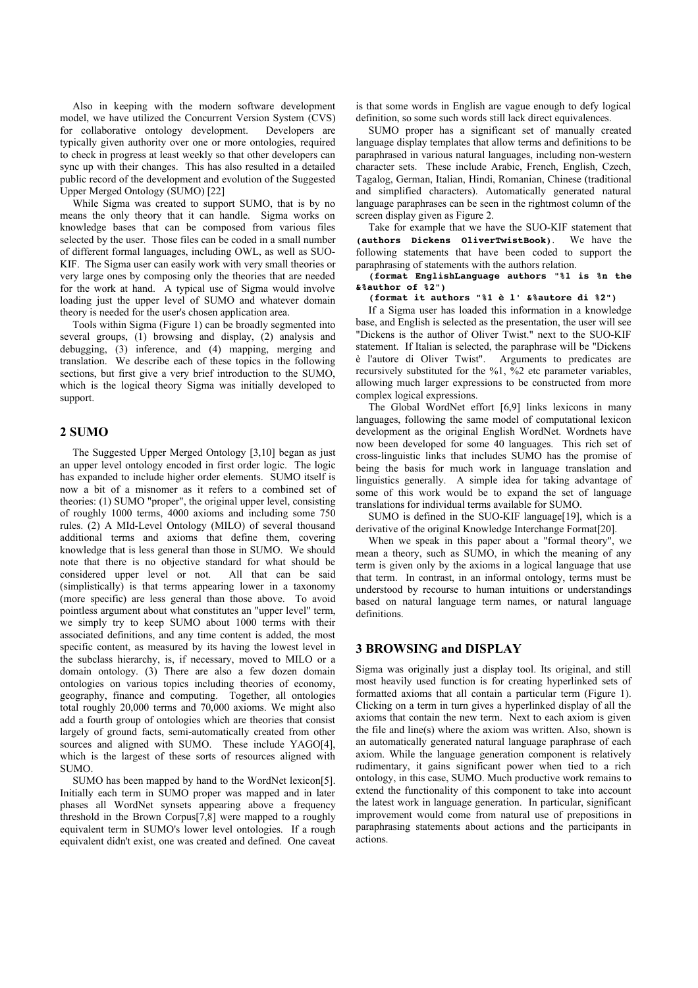Also in keeping with the modern software development model, we have utilized the Concurrent Version System (CVS) for collaborative ontology development. Developers are typically given authority over one or more ontologies, required to check in progress at least weekly so that other developers can sync up with their changes. This has also resulted in a detailed public record of the development and evolution of the Suggested Upper Merged Ontology (SUMO) [22]

While Sigma was created to support SUMO, that is by no means the only theory that it can handle. Sigma works on knowledge bases that can be composed from various files selected by the user. Those files can be coded in a small number of different formal languages, including OWL, as well as SUO-KIF. The Sigma user can easily work with very small theories or very large ones by composing only the theories that are needed for the work at hand. A typical use of Sigma would involve loading just the upper level of SUMO and whatever domain theory is needed for the user's chosen application area.

Tools within Sigma (Figure 1) can be broadly segmented into several groups, (1) browsing and display, (2) analysis and debugging, (3) inference, and (4) mapping, merging and translation. We describe each of these topics in the following sections, but first give a very brief introduction to the SUMO, which is the logical theory Sigma was initially developed to support.

# **2 SUMO**

The Suggested Upper Merged Ontology [3,10] began as just an upper level ontology encoded in first order logic. The logic has expanded to include higher order elements. SUMO itself is now a bit of a misnomer as it refers to a combined set of theories: (1) SUMO "proper", the original upper level, consisting of roughly 1000 terms, 4000 axioms and including some 750 rules. (2) A MId-Level Ontology (MILO) of several thousand additional terms and axioms that define them, covering knowledge that is less general than those in SUMO. We should note that there is no objective standard for what should be considered upper level or not. All that can be said considered upper level or not.  $(simplistically)$  is that terms appearing lower in a taxonomy (more specific) are less general than those above. To avoid pointless argument about what constitutes an "upper level" term, we simply try to keep SUMO about 1000 terms with their associated definitions, and any time content is added, the most specific content, as measured by its having the lowest level in the subclass hierarchy, is, if necessary, moved to MILO or a domain ontology. (3) There are also a few dozen domain ontologies on various topics including theories of economy, geography, finance and computing. Together, all ontologies total roughly 20,000 terms and 70,000 axioms. We might also add a fourth group of ontologies which are theories that consist largely of ground facts, semi-automatically created from other sources and aligned with SUMO. These include YAGO[4], which is the largest of these sorts of resources aligned with SUMO.

SUMO has been mapped by hand to the WordNet lexicon[5]. Initially each term in SUMO proper was mapped and in later phases all WordNet synsets appearing above a frequency threshold in the Brown Corpus[7,8] were mapped to a roughly equivalent term in SUMO's lower level ontologies. If a rough equivalent didn't exist, one was created and defined. One caveat is that some words in English are vague enough to defy logical definition, so some such words still lack direct equivalences.

SUMO proper has a significant set of manually created language display templates that allow terms and definitions to be paraphrased in various natural languages, including non-western character sets. These include Arabic, French, English, Czech, Tagalog, German, Italian, Hindi, Romanian, Chinese (traditional and simplified characters). Automatically generated natural language paraphrases can be seen in the rightmost column of the screen display given as Figure 2.

Take for example that we have the SUO-KIF statement that **(authors Dickens OliverTwistBook)**. We have the following statements that have been coded to support the paraphrasing of statements with the authors relation.

**(format EnglishLanguage authors "%1 is %n the &%author of %2")**

#### **(format it authors "%1 è l' &%autore di %2")**

If a Sigma user has loaded this information in a knowledge base, and English is selected as the presentation, the user will see "Dickens is the author of Oliver Twist." next to the SUO-KIF statement. If Italian is selected, the paraphrase will be "Dickens è l'autore di Oliver Twist". Arguments to predicates are recursively substituted for the %1, %2 etc parameter variables, allowing much larger expressions to be constructed from more complex logical expressions.

The Global WordNet effort [6,9] links lexicons in many languages, following the same model of computational lexicon development as the original English WordNet. Wordnets have now been developed for some 40 languages. This rich set of cross-linguistic links that includes SUMO has the promise of being the basis for much work in language translation and linguistics generally. A simple idea for taking advantage of some of this work would be to expand the set of language translations for individual terms available for SUMO.

SUMO is defined in the SUO-KIF language[19], which is a derivative of the original Knowledge Interchange Format[20].

When we speak in this paper about a "formal theory", we mean a theory, such as SUMO, in which the meaning of any term is given only by the axioms in a logical language that use that term. In contrast, in an informal ontology, terms must be understood by recourse to human intuitions or understandings based on natural language term names, or natural language definitions.

## **3 BROWSING and DISPLAY**

Sigma was originally just a display tool. Its original, and still most heavily used function is for creating hyperlinked sets of formatted axioms that all contain a particular term (Figure 1). Clicking on a term in turn gives a hyperlinked display of all the axioms that contain the new term. Next to each axiom is given the file and line(s) where the axiom was written. Also, shown is an automatically generated natural language paraphrase of each axiom. While the language generation component is relatively rudimentary, it gains significant power when tied to a rich ontology, in this case, SUMO. Much productive work remains to extend the functionality of this component to take into account the latest work in language generation. In particular, significant improvement would come from natural use of prepositions in paraphrasing statements about actions and the participants in actions.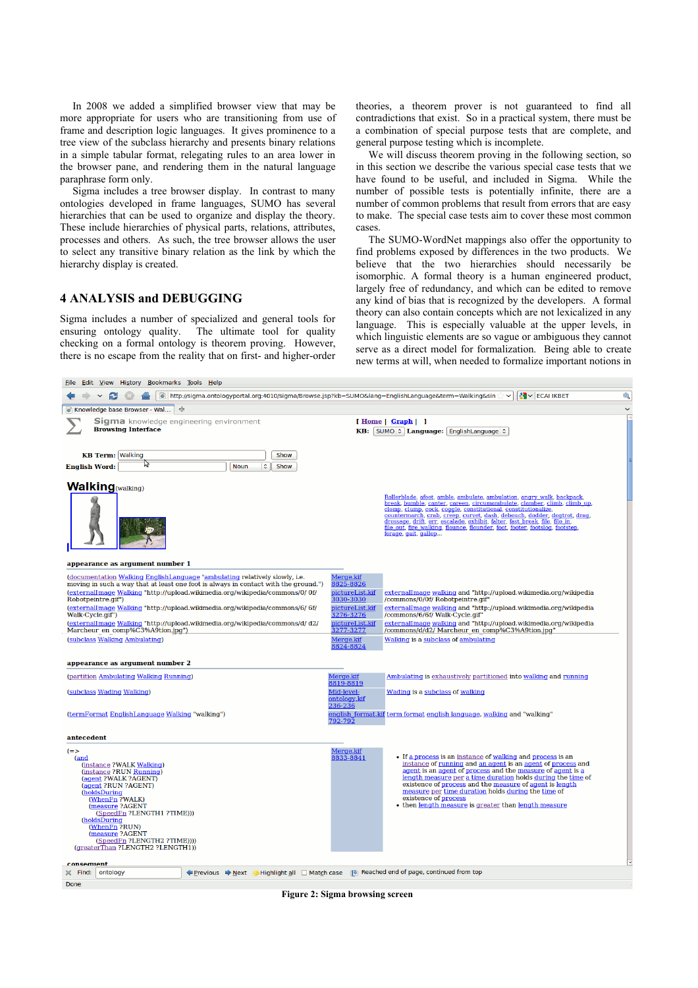In 2008 we added a simplified browser view that may be more appropriate for users who are transitioning from use of frame and description logic languages. It gives prominence to a tree view of the subclass hierarchy and presents binary relations in a simple tabular format, relegating rules to an area lower in the browser pane, and rendering them in the natural language paraphrase form only.

Sigma includes a tree browser display. In contrast to many ontologies developed in frame languages, SUMO has several hierarchies that can be used to organize and display the theory. These include hierarchies of physical parts, relations, attributes, processes and others. As such, the tree browser allows the user to select any transitive binary relation as the link by which the hierarchy display is created.

# **4 ANALYSIS and DEBUGGING**

Sigma includes a number of specialized and general tools for ensuring ontology quality. The ultimate tool for quality checking on a formal ontology is theorem proving. However, there is no escape from the reality that on first- and higher-order

theories, a theorem prover is not guaranteed to find all contradictions that exist. So in a practical system, there must be a combination of special purpose tests that are complete, and general purpose testing which is incomplete.

We will discuss theorem proving in the following section, so in this section we describe the various special case tests that we have found to be useful, and included in Sigma. While the number of possible tests is potentially infinite, there are a number of common problems that result from errors that are easy to make. The special case tests aim to cover these most common cases.

The SUMO-WordNet mappings also offer the opportunity to find problems exposed by differences in the two products. We believe that the two hierarchies should necessarily be isomorphic. A formal theory is a human engineered product, largely free of redundancy, and which can be edited to remove any kind of bias that is recognized by the developers. A formal theory can also contain concepts which are not lexicalized in any language. This is especially valuable at the upper levels, in which linguistic elements are so vague or ambiguous they cannot serve as a direct model for formalization. Being able to create new terms at will, when needed to formalize important notions in

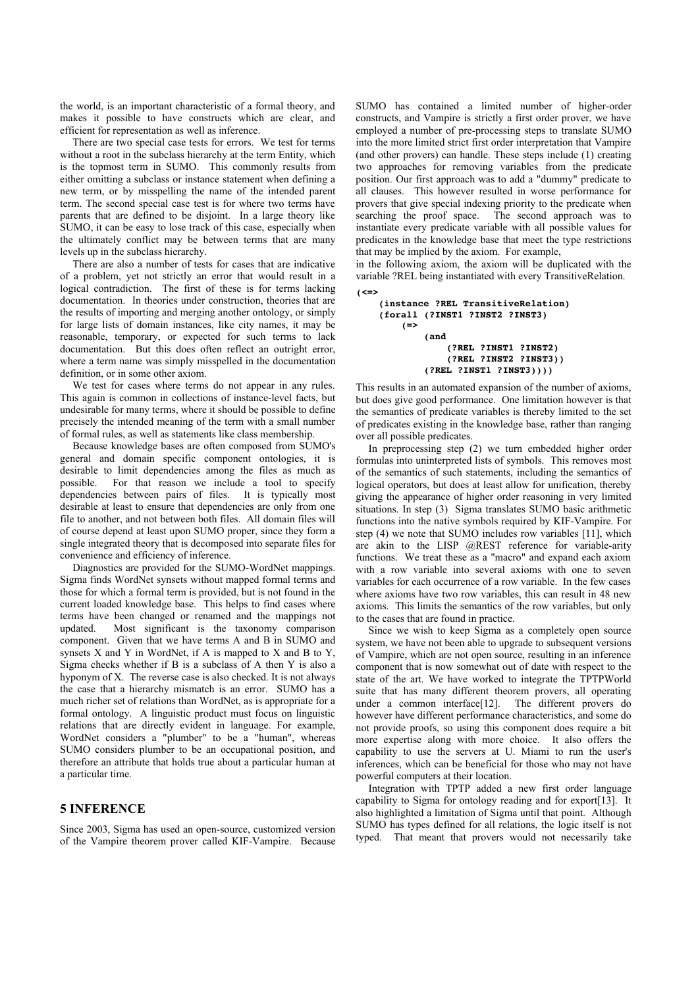the world, is an important characteristic of a formal theory, and makes it possible to have constructs which are clear, and efficient for representation as well as inference.

There are two special case tests for errors. We test for terms without a root in the subclass hierarchy at the term Entity, which is the topmost term in SUMO. This commonly results from either omitting a subclass or instance statement when defining a new term, or by misspelling the name of the intended parent term. The second special case test is for where two terms have parents that are defined to be disjoint. In a large theory like SUMO, it can be easy to lose track of this case, especially when the ultimately conflict may be between terms that are many levels up in the subclass hierarchy.

There are also a number of tests for cases that are indicative of a problem, yet not strictly an error that would result in a logical contradiction. The first of these is for terms lacking documentation. In theories under construction, theories that are the results of importing and merging another ontology, or simply for large lists of domain instances, like city names, it may be reasonable, temporary, or expected for such terms to lack documentation. But this does often reflect an outright error, where a term name was simply misspelled in the documentation definition, or in some other axiom.

We test for cases where terms do not appear in any rules. This again is common in collections of instance-level facts, but undesirable for many terms, where it should be possible to define precisely the intended meaning of the term with a small number of formal rules, as well as statements like class membership.

Because knowledge bases are often composed from SUMO's general and domain specific component ontologies, it is desirable to limit dependencies among the files as much as possible. For that reason we include a tool to specify dependencies between pairs of files. It is typically most desirable at least to ensure that dependencies are only from one file to another, and not between both files. All domain files will of course depend at least upon SUMO proper, since they form a single integrated theory that is decomposed into separate files for convenience and efficiency of inference.

Diagnostics are provided for the SUMO-WordNet mappings. Sigma finds WordNet synsets without mapped formal terms and those for which a formal term is provided, but is not found in the current loaded knowledge base. This helps to find cases where terms have been changed or renamed and the mappings not updated. Most significant is the taxonomy comparison component. Given that we have terms A and B in SUMO and synsets X and Y in WordNet, if A is mapped to X and B to Y, Sigma checks whether if B is a subclass of A then Y is also a hyponym of X. The reverse case is also checked. It is not always the case that a hierarchy mismatch is an error. SUMO has a much richer set of relations than WordNet, as is appropriate for a formal ontology. A linguistic product must focus on linguistic relations that are directly evident in language. For example, WordNet considers a "plumber" to be a "human", whereas SUMO considers plumber to be an occupational position, and therefore an attribute that holds true about a particular human at a particular time.

# **5 INFERENCE**

Since 2003, Sigma has used an open-source, customized version of the Vampire theorem prover called KIF-Vampire. Because SUMO has contained a limited number of higher-order constructs, and Vampire is strictly a first order prover, we have employed a number of pre-processing steps to translate SUMO into the more limited strict first order interpretation that Vampire (and other provers) can handle. These steps include (1) creating two approaches for removing variables from the predicate position. Our first approach was to add a "dummy" predicate to all clauses. This however resulted in worse performance for provers that give special indexing priority to the predicate when searching the proof space. The second approach was to instantiate every predicate variable with all possible values for predicates in the knowledge base that meet the type restrictions that may be implied by the axiom. For example,

in the following axiom, the axiom will be duplicated with the variable ?REL being instantiated with every TransitiveRelation. **(<=>**

```
    (instance ?REL TransitiveRelation)
(forall (?INST1 ?INST2 ?INST3)
         (=>
                    (and
                              (?REL ?INST1 ?INST2)
                              (?REL ?INST2 ?INST3))
                    (?REL ?INST1 ?INST3))))
```
This results in an automated expansion of the number of axioms, but does give good performance. One limitation however is that the semantics of predicate variables is thereby limited to the set of predicates existing in the knowledge base, rather than ranging over all possible predicates.

In preprocessing step (2) we turn embedded higher order formulas into uninterpreted lists of symbols. This removes most of the semantics of such statements, including the semantics of logical operators, but does at least allow for unification, thereby giving the appearance of higher order reasoning in very limited situations. In step (3) Sigma translates SUMO basic arithmetic functions into the native symbols required by KIF-Vampire. For step (4) we note that SUMO includes row variables [11], which are akin to the LISP @REST reference for variable-arity functions. We treat these as a "macro" and expand each axiom with a row variable into several axioms with one to seven variables for each occurrence of a row variable. In the few cases where axioms have two row variables, this can result in 48 new axioms. This limits the semantics of the row variables, but only to the cases that are found in practice.

Since we wish to keep Sigma as a completely open source system, we have not been able to upgrade to subsequent versions of Vampire, which are not open source, resulting in an inference component that is now somewhat out of date with respect to the state of the art. We have worked to integrate the TPTPWorld suite that has many different theorem provers, all operating under a common interface[12]. The different provers do however have different performance characteristics, and some do not provide proofs, so using this component does require a bit more expertise along with more choice. It also offers the capability to use the servers at U. Miami to run the user's inferences, which can be beneficial for those who may not have powerful computers at their location.

Integration with TPTP added a new first order language capability to Sigma for ontology reading and for export[13]. It also highlighted a limitation of Sigma until that point. Although SUMO has types defined for all relations, the logic itself is not typed. That meant that provers would not necessarily take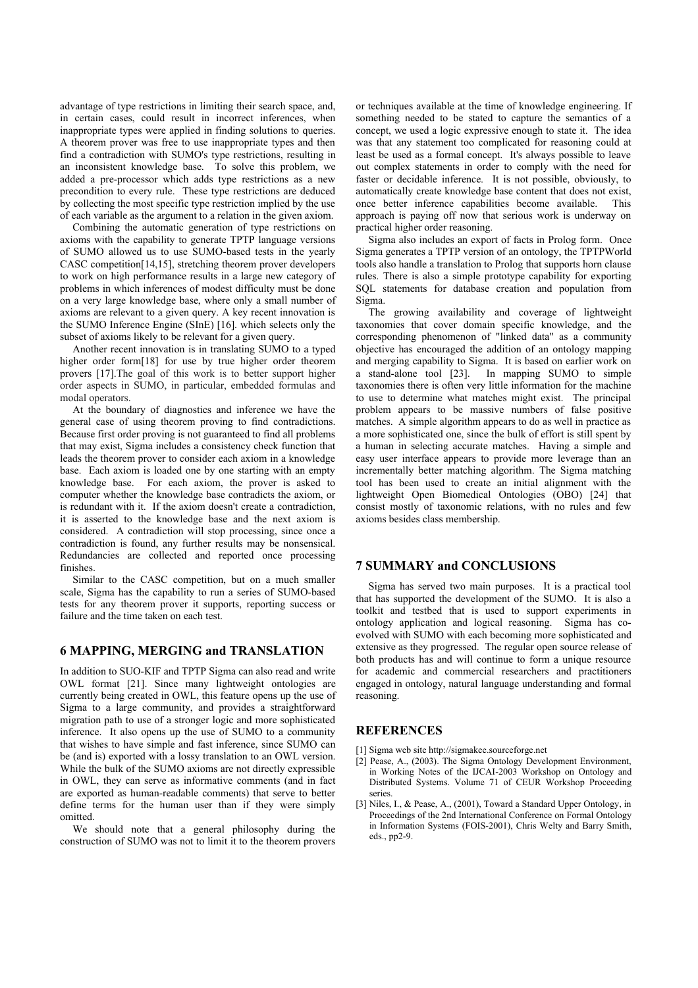advantage of type restrictions in limiting their search space, and, in certain cases, could result in incorrect inferences, when inappropriate types were applied in finding solutions to queries. A theorem prover was free to use inappropriate types and then find a contradiction with SUMO's type restrictions, resulting in an inconsistent knowledge base. To solve this problem, we added a pre-processor which adds type restrictions as a new precondition to every rule. These type restrictions are deduced by collecting the most specific type restriction implied by the use of each variable as the argument to a relation in the given axiom.

Combining the automatic generation of type restrictions on axioms with the capability to generate TPTP language versions of SUMO allowed us to use SUMO-based tests in the yearly CASC competition[14,15], stretching theorem prover developers to work on high performance results in a large new category of problems in which inferences of modest difficulty must be done on a very large knowledge base, where only a small number of axioms are relevant to a given query. A key recent innovation is the SUMO Inference Engine (SInE) [16]. which selects only the subset of axioms likely to be relevant for a given query.

Another recent innovation is in translating SUMO to a typed higher order form[18] for use by true higher order theorem provers [17].The goal of this work is to better support higher order aspects in SUMO, in particular, embedded formulas and modal operators.

At the boundary of diagnostics and inference we have the general case of using theorem proving to find contradictions. Because first order proving is not guaranteed to find all problems that may exist, Sigma includes a consistency check function that leads the theorem prover to consider each axiom in a knowledge base. Each axiom is loaded one by one starting with an empty knowledge base. For each axiom, the prover is asked to computer whether the knowledge base contradicts the axiom, or is redundant with it. If the axiom doesn't create a contradiction, it is asserted to the knowledge base and the next axiom is considered. A contradiction will stop processing, since once a contradiction is found, any further results may be nonsensical. Redundancies are collected and reported once processing finishes.

Similar to the CASC competition, but on a much smaller scale, Sigma has the capability to run a series of SUMO-based tests for any theorem prover it supports, reporting success or failure and the time taken on each test.

# **6 MAPPING, MERGING and TRANSLATION**

In addition to SUO-KIF and TPTP Sigma can also read and write OWL format [21]. Since many lightweight ontologies are currently being created in OWL, this feature opens up the use of Sigma to a large community, and provides a straightforward migration path to use of a stronger logic and more sophisticated inference. It also opens up the use of SUMO to a community that wishes to have simple and fast inference, since SUMO can be (and is) exported with a lossy translation to an OWL version. While the bulk of the SUMO axioms are not directly expressible in OWL, they can serve as informative comments (and in fact are exported as human-readable comments) that serve to better define terms for the human user than if they were simply omitted.

We should note that a general philosophy during the construction of SUMO was not to limit it to the theorem provers

or techniques available at the time of knowledge engineering. If something needed to be stated to capture the semantics of a concept, we used a logic expressive enough to state it. The idea was that any statement too complicated for reasoning could at least be used as a formal concept. It's always possible to leave out complex statements in order to comply with the need for faster or decidable inference. It is not possible, obviously, to automatically create knowledge base content that does not exist, once better inference capabilities become available. This approach is paying off now that serious work is underway on practical higher order reasoning.

Sigma also includes an export of facts in Prolog form. Once Sigma generates a TPTP version of an ontology, the TPTPWorld tools also handle a translation to Prolog that supports horn clause rules. There is also a simple prototype capability for exporting SQL statements for database creation and population from Sigma.

The growing availability and coverage of lightweight taxonomies that cover domain specific knowledge, and the corresponding phenomenon of "linked data" as a community objective has encouraged the addition of an ontology mapping and merging capability to Sigma. It is based on earlier work on a stand-alone tool [23]. In mapping SUMO to simple taxonomies there is often very little information for the machine to use to determine what matches might exist. The principal problem appears to be massive numbers of false positive matches. A simple algorithm appears to do as well in practice as a more sophisticated one, since the bulk of effort is still spent by a human in selecting accurate matches. Having a simple and easy user interface appears to provide more leverage than an incrementally better matching algorithm. The Sigma matching tool has been used to create an initial alignment with the lightweight Open Biomedical Ontologies (OBO) [24] that consist mostly of taxonomic relations, with no rules and few axioms besides class membership.

### **7 SUMMARY and CONCLUSIONS**

Sigma has served two main purposes. It is a practical tool that has supported the development of the SUMO. It is also a toolkit and testbed that is used to support experiments in ontology application and logical reasoning. Sigma has coevolved with SUMO with each becoming more sophisticated and extensive as they progressed. The regular open source release of both products has and will continue to form a unique resource for academic and commercial researchers and practitioners engaged in ontology, natural language understanding and formal reasoning.

# **REFERENCES**

- [1] Sigma web site http://sigmakee.sourceforge.net
- [2] Pease, A., (2003). The Sigma Ontology Development Environment, in Working Notes of the IJCAI-2003 Workshop on Ontology and Distributed Systems. Volume 71 of CEUR Workshop Proceeding series.
- [3] Niles, I., & Pease, A., (2001), Toward a Standard Upper Ontology, in Proceedings of the 2nd International Conference on Formal Ontology in Information Systems (FOIS-2001), Chris Welty and Barry Smith, eds., pp2-9.